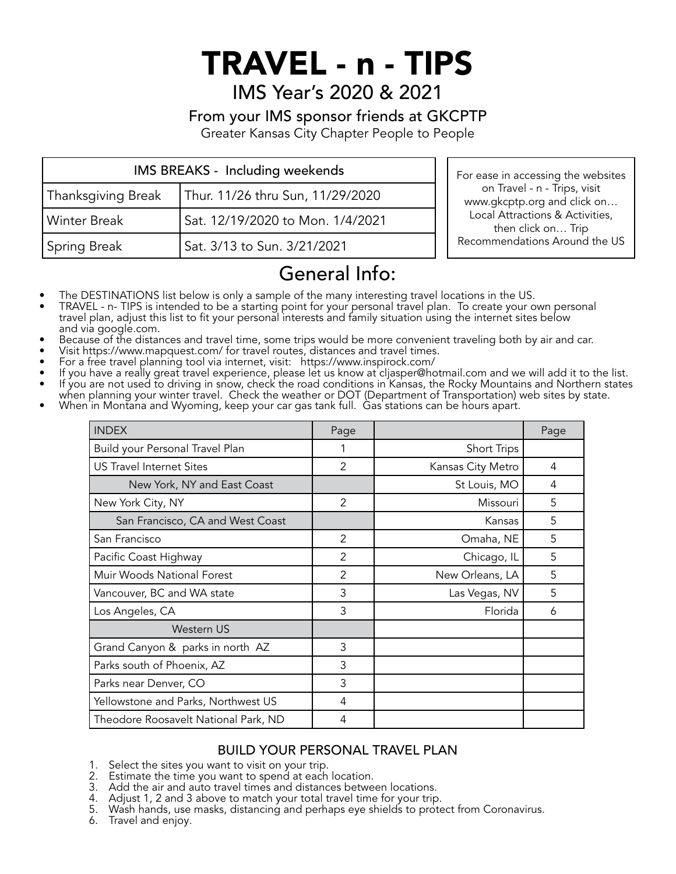# TRAVEL - n - TIPS

IMS Year's 2020 & 2021

### From your IMS sponsor friends at GKCPTP

Greater Kansas City Chapter People to People

| IMS BREAKS - Including weekends |                                  |  |
|---------------------------------|----------------------------------|--|
| Thanksgiving Break              | Thur. 11/26 thru Sun, 11/29/2020 |  |
| Winter Break                    | Sat. 12/19/2020 to Mon. 1/4/2021 |  |
| <b>Spring Break</b>             | Sat. 3/13 to Sun. 3/21/2021      |  |

For ease in accessing the websites on Travel - n - Trips, visit www.gkcptp.org and click on… Local Attractions & Activities, then click on… Trip Recommendations Around the US

## General Info:

- 
- The DESTINATIONS list below is only a sample of the many interesting travel locations in the US.<br>• TRAVEL n- TIPS is intended to be a starting point for your personal travel plan. To create your own personal travel plan, adjust this list to fit your personal interests and family situation using the internet sites below
- 
- 
- 
- Because of the distances and travel time, some trips would be more convenient traveling both by air and car.<br>• Visit https://www.mapquest.com/ for travel routes, distances and travel times.<br>• For a free travel planning t
- when planning your winter travel. Check the weather or DOT (Department of Transportation) web sites by state. When in Montana and Wyoming, keep your car gas tank full. Gas stations can be hours apart.
- 

| <b>INDEX</b>                         | Page           |                   | Page |
|--------------------------------------|----------------|-------------------|------|
| Build your Personal Travel Plan      |                | Short Trips       |      |
| <b>US Travel Internet Sites</b>      | $\mathfrak{p}$ | Kansas City Metro | 4    |
| New York, NY and East Coast          |                | St Louis, MO      | 4    |
| New York City, NY                    | 2              | Missouri          | 5    |
| San Francisco, CA and West Coast     |                | Kansas            | 5    |
| San Francisco                        | 2              | Omaha, NE         | 5    |
| Pacific Coast Highway                | 2              | Chicago, IL       | 5    |
| Muir Woods National Forest           | 2              | New Orleans, LA   | 5    |
| Vancouver, BC and WA state           | 3              | Las Vegas, NV     | 5    |
| Los Angeles, CA                      | 3              | Florida           | 6    |
| Western US                           |                |                   |      |
| Grand Canyon & parks in north AZ     | 3              |                   |      |
| Parks south of Phoenix, AZ           | 3              |                   |      |
| Parks near Denver, CO                | 3              |                   |      |
| Yellowstone and Parks, Northwest US  | 4              |                   |      |
| Theodore Roosavelt National Park, ND | 4              |                   |      |

#### BUILD YOUR PERSONAL TRAVEL PLAN

- 1. Select the sites you want to visit on your trip.
- 2. Estimate the time you want to spend at each location.
- 3. Add the air and auto travel times and distances between locations.<br>4. Adiust 1. 2 and 3 above to match your total travel time for your trip
- Adjust 1, 2 and 3 above to match your total travel time for your trip.
- 5. Wash hands, use masks, distancing and perhaps eye shields to protect from Coronavirus.
- 6. Travel and enjoy.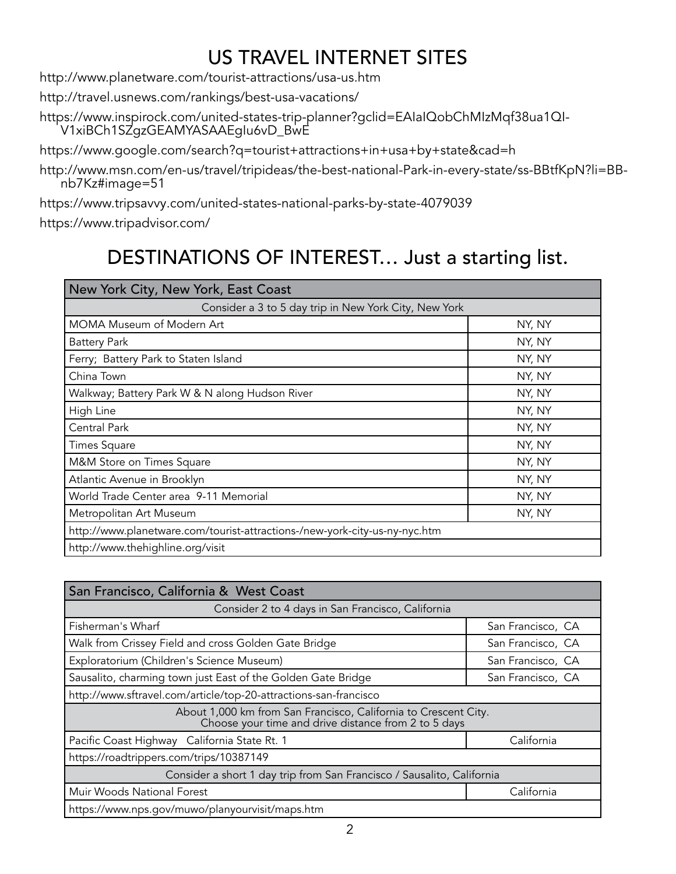### US TRAVEL INTERNET SITES

http://www.planetware.com/tourist-attractions/usa-us.htm

http://travel.usnews.com/rankings/best-usa-vacations/

https://www.inspirock.com/united-states-trip-planner?gclid=EAIaIQobChMIzMqf38ua1QI- V1xiBCh1SZgzGEAMYASAAEgIu6vD\_BwE

https://www.google.com/search?q=tourist+attractions+in+usa+by+state&cad=h

http://www.msn.com/en-us/travel/tripideas/the-best-national-Park-in-every-state/ss-BBtfKpN?li=BB- nb7Kz#image=51

https://www.tripsavvy.com/united-states-national-parks-by-state-4079039

https://www.tripadvisor.com/

### DESTINATIONS OF INTEREST… Just a starting list.

| New York City, New York, East Coast                                        |        |  |
|----------------------------------------------------------------------------|--------|--|
| Consider a 3 to 5 day trip in New York City, New York                      |        |  |
| MOMA Museum of Modern Art                                                  | NY, NY |  |
| <b>Battery Park</b>                                                        | NY, NY |  |
| Ferry; Battery Park to Staten Island                                       | NY, NY |  |
| China Town                                                                 | NY, NY |  |
| Walkway; Battery Park W & N along Hudson River                             | NY, NY |  |
| High Line                                                                  | NY, NY |  |
| Central Park                                                               | NY, NY |  |
| <b>Times Square</b>                                                        | NY, NY |  |
| M&M Store on Times Square                                                  | NY, NY |  |
| Atlantic Avenue in Brooklyn                                                | NY, NY |  |
| World Trade Center area 9-11 Memorial                                      | NY, NY |  |
| Metropolitan Art Museum                                                    | NY, NY |  |
| http://www.planetware.com/tourist-attractions-/new-york-city-us-ny-nyc.htm |        |  |
| http://www.thehighline.org/visit                                           |        |  |

| San Francisco, California & West Coast                                                                                  |                   |  |
|-------------------------------------------------------------------------------------------------------------------------|-------------------|--|
| Consider 2 to 4 days in San Francisco, California                                                                       |                   |  |
| Fisherman's Wharf                                                                                                       | San Francisco, CA |  |
| Walk from Crissey Field and cross Golden Gate Bridge                                                                    | San Francisco, CA |  |
| Exploratorium (Children's Science Museum)                                                                               | San Francisco, CA |  |
| Sausalito, charming town just East of the Golden Gate Bridge                                                            | San Francisco, CA |  |
| http://www.sftravel.com/article/top-20-attractions-san-francisco                                                        |                   |  |
| About 1,000 km from San Francisco, California to Crescent City.<br>Choose your time and drive distance from 2 to 5 days |                   |  |
| Pacific Coast Highway California State Rt. 1                                                                            | California        |  |
| https://roadtrippers.com/trips/10387149                                                                                 |                   |  |
| Consider a short 1 day trip from San Francisco / Sausalito, California                                                  |                   |  |
| Muir Woods National Forest<br>California                                                                                |                   |  |
| https://www.nps.gov/muwo/planyourvisit/maps.htm                                                                         |                   |  |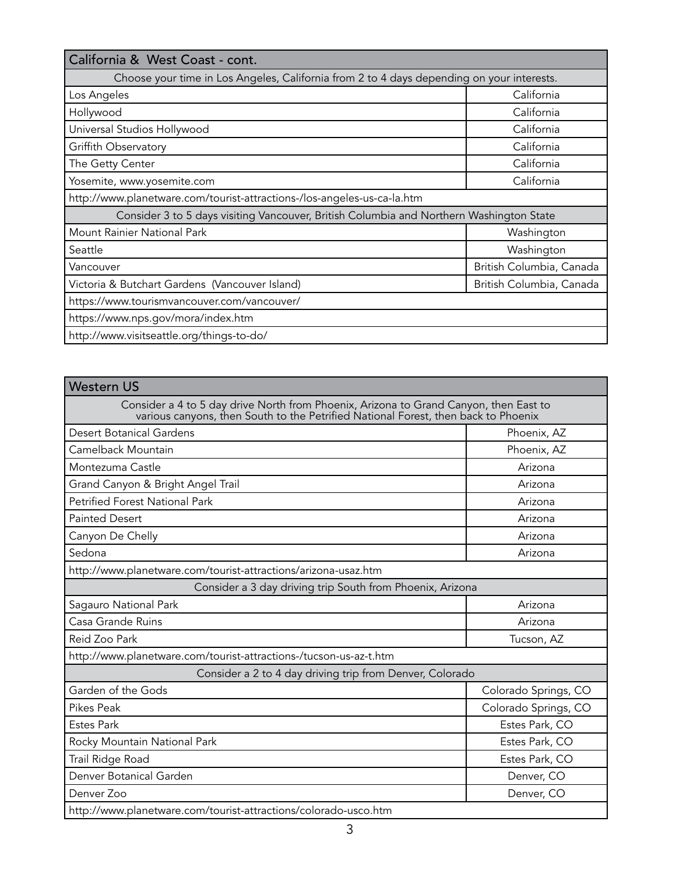| California & West Coast - cont.                                                           |                          |  |
|-------------------------------------------------------------------------------------------|--------------------------|--|
| Choose your time in Los Angeles, California from 2 to 4 days depending on your interests. |                          |  |
| Los Angeles                                                                               | California               |  |
| Hollywood                                                                                 | California               |  |
| Universal Studios Hollywood                                                               | California               |  |
| Griffith Observatory                                                                      | California               |  |
| The Getty Center                                                                          | California               |  |
| Yosemite, www.yosemite.com                                                                | California               |  |
| http://www.planetware.com/tourist-attractions-/los-angeles-us-ca-la.htm                   |                          |  |
| Consider 3 to 5 days visiting Vancouver, British Columbia and Northern Washington State   |                          |  |
| Mount Rainier National Park                                                               | Washington               |  |
| Seattle                                                                                   | Washington               |  |
| Vancouver                                                                                 | British Columbia, Canada |  |
| Victoria & Butchart Gardens (Vancouver Island)                                            | British Columbia, Canada |  |
| https://www.tourismvancouver.com/vancouver/                                               |                          |  |
| https://www.nps.gov/mora/index.htm                                                        |                          |  |
| http://www.visitseattle.org/things-to-do/                                                 |                          |  |

| <b>Western US</b>                                                                                                                                                           |                      |  |
|-----------------------------------------------------------------------------------------------------------------------------------------------------------------------------|----------------------|--|
| Consider a 4 to 5 day drive North from Phoenix, Arizona to Grand Canyon, then East to<br>various canyons, then South to the Petrified National Forest, then back to Phoenix |                      |  |
| <b>Desert Botanical Gardens</b>                                                                                                                                             | Phoenix, AZ          |  |
| Camelback Mountain                                                                                                                                                          | Phoenix, AZ          |  |
| Montezuma Castle                                                                                                                                                            | Arizona              |  |
| Grand Canyon & Bright Angel Trail                                                                                                                                           | Arizona              |  |
| <b>Petrified Forest National Park</b>                                                                                                                                       | Arizona              |  |
| <b>Painted Desert</b>                                                                                                                                                       | Arizona              |  |
| Canyon De Chelly                                                                                                                                                            | Arizona              |  |
| Sedona                                                                                                                                                                      | Arizona              |  |
| http://www.planetware.com/tourist-attractions/arizona-usaz.htm                                                                                                              |                      |  |
| Consider a 3 day driving trip South from Phoenix, Arizona                                                                                                                   |                      |  |
| Sagauro National Park                                                                                                                                                       | Arizona              |  |
| Casa Grande Ruins                                                                                                                                                           | Arizona              |  |
| Reid Zoo Park                                                                                                                                                               | Tucson, AZ           |  |
| http://www.planetware.com/tourist-attractions-/tucson-us-az-t.htm                                                                                                           |                      |  |
| Consider a 2 to 4 day driving trip from Denver, Colorado                                                                                                                    |                      |  |
| Garden of the Gods                                                                                                                                                          | Colorado Springs, CO |  |
| <b>Pikes Peak</b>                                                                                                                                                           | Colorado Springs, CO |  |
| <b>Estes Park</b>                                                                                                                                                           | Estes Park, CO       |  |
| Rocky Mountain National Park                                                                                                                                                | Estes Park, CO       |  |
| Trail Ridge Road                                                                                                                                                            | Estes Park, CO       |  |
| Denver Botanical Garden                                                                                                                                                     | Denver, CO           |  |
| Denver Zoo                                                                                                                                                                  | Denver, CO           |  |
| http://www.planetware.com/tourist-attractions/colorado-usco.htm                                                                                                             |                      |  |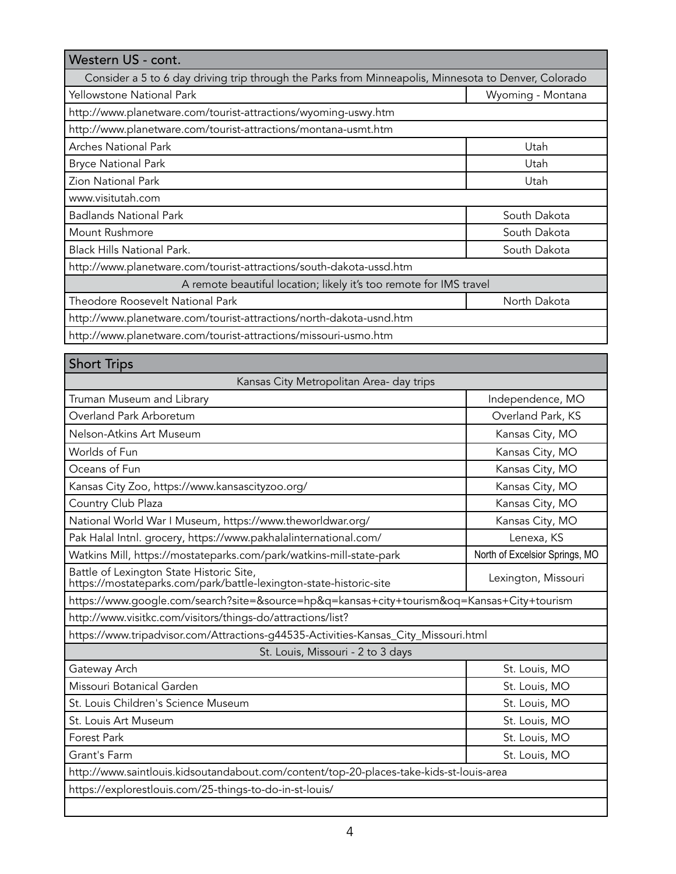| Western US - cont.                                                                                   |                   |  |
|------------------------------------------------------------------------------------------------------|-------------------|--|
| Consider a 5 to 6 day driving trip through the Parks from Minneapolis, Minnesota to Denver, Colorado |                   |  |
| Yellowstone National Park                                                                            | Wyoming - Montana |  |
| http://www.planetware.com/tourist-attractions/wyoming-uswy.htm                                       |                   |  |
| http://www.planetware.com/tourist-attractions/montana-usmt.htm                                       |                   |  |
| <b>Arches National Park</b>                                                                          | Utah              |  |
| <b>Bryce National Park</b>                                                                           | Utah              |  |
| <b>Zion National Park</b>                                                                            | Utah              |  |
| www.visitutah.com                                                                                    |                   |  |
| <b>Badlands National Park</b>                                                                        | South Dakota      |  |
| Mount Rushmore                                                                                       | South Dakota      |  |
| <b>Black Hills National Park.</b>                                                                    | South Dakota      |  |
| http://www.planetware.com/tourist-attractions/south-dakota-ussd.htm                                  |                   |  |
| A remote beautiful location; likely it's too remote for IMS travel                                   |                   |  |
| <b>Theodore Roosevelt National Park</b>                                                              | North Dakota      |  |
| http://www.planetware.com/tourist-attractions/north-dakota-usnd.htm                                  |                   |  |
| http://www.planetware.com/tourist-attractions/missouri-usmo.htm                                      |                   |  |

| <b>Short Trips</b>                                                                                             |                                |  |
|----------------------------------------------------------------------------------------------------------------|--------------------------------|--|
| Kansas City Metropolitan Area- day trips                                                                       |                                |  |
| Truman Museum and Library                                                                                      | Independence, MO               |  |
| Overland Park Arboretum                                                                                        | Overland Park, KS              |  |
| Nelson-Atkins Art Museum                                                                                       | Kansas City, MO                |  |
| Worlds of Fun                                                                                                  | Kansas City, MO                |  |
| Oceans of Fun                                                                                                  | Kansas City, MO                |  |
| Kansas City Zoo, https://www.kansascityzoo.org/                                                                | Kansas City, MO                |  |
| Country Club Plaza                                                                                             | Kansas City, MO                |  |
| National World War I Museum, https://www.theworldwar.org/                                                      | Kansas City, MO                |  |
| Pak Halal Intnl. grocery, https://www.pakhalalinternational.com/                                               | Lenexa, KS                     |  |
| Watkins Mill, https://mostateparks.com/park/watkins-mill-state-park                                            | North of Excelsior Springs, MO |  |
| Battle of Lexington State Historic Site,<br>https://mostateparks.com/park/battle-lexington-state-historic-site | Lexington, Missouri            |  |
| https://www.google.com/search?site=&source=hp&q=kansas+city+tourism&oq=Kansas+City+tourism                     |                                |  |
| http://www.visitkc.com/visitors/things-do/attractions/list?                                                    |                                |  |
| https://www.tripadvisor.com/Attractions-g44535-Activities-Kansas_City_Missouri.html                            |                                |  |
| St. Louis, Missouri - 2 to 3 days                                                                              |                                |  |
| Gateway Arch                                                                                                   | St. Louis, MO                  |  |
| Missouri Botanical Garden                                                                                      | St. Louis, MO                  |  |
| St. Louis Children's Science Museum                                                                            | St. Louis, MO                  |  |
| St. Louis Art Museum                                                                                           | St. Louis, MO                  |  |
| Forest Park                                                                                                    | St. Louis, MO                  |  |
| Grant's Farm                                                                                                   | St. Louis, MO                  |  |
| http://www.saintlouis.kidsoutandabout.com/content/top-20-places-take-kids-st-louis-area                        |                                |  |
| https://explorestlouis.com/25-things-to-do-in-st-louis/                                                        |                                |  |
|                                                                                                                |                                |  |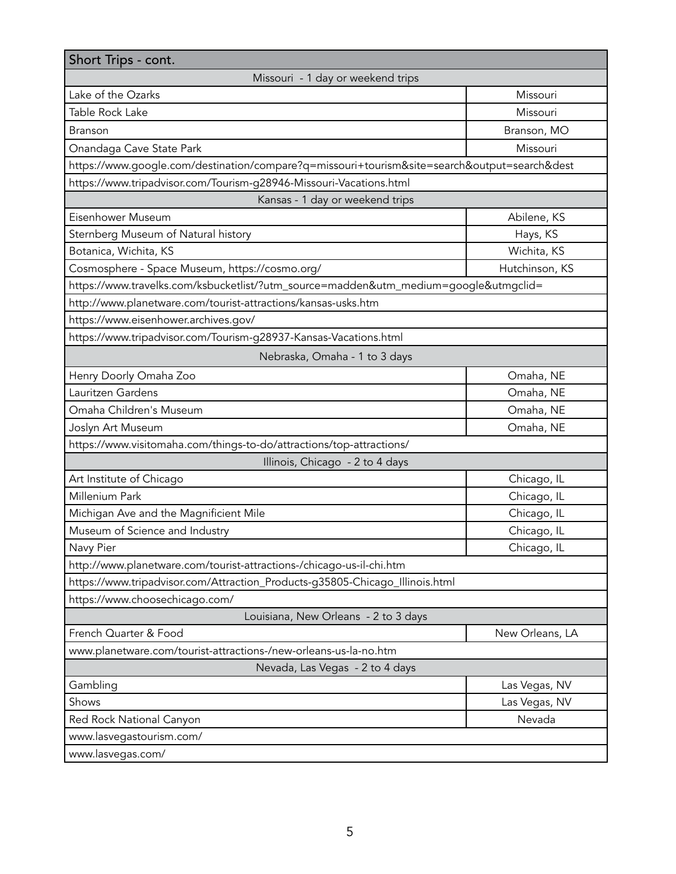| Short Trips - cont.                                                                          |                 |  |
|----------------------------------------------------------------------------------------------|-----------------|--|
| Missouri - 1 day or weekend trips                                                            |                 |  |
| Lake of the Ozarks                                                                           | Missouri        |  |
| Table Rock Lake                                                                              | Missouri        |  |
| <b>Branson</b>                                                                               | Branson, MO     |  |
| Onandaga Cave State Park                                                                     | Missouri        |  |
| https://www.google.com/destination/compare?q=missouri+tourism&site=search&output=search&dest |                 |  |
| https://www.tripadvisor.com/Tourism-g28946-Missouri-Vacations.html                           |                 |  |
| Kansas - 1 day or weekend trips                                                              |                 |  |
| Eisenhower Museum                                                                            | Abilene, KS     |  |
| Sternberg Museum of Natural history                                                          | Hays, KS        |  |
| Botanica, Wichita, KS                                                                        | Wichita, KS     |  |
| Cosmosphere - Space Museum, https://cosmo.org/                                               | Hutchinson, KS  |  |
| https://www.travelks.com/ksbucketlist/?utm_source=madden&utm_medium=google&utmgclid=         |                 |  |
| http://www.planetware.com/tourist-attractions/kansas-usks.htm                                |                 |  |
| https://www.eisenhower.archives.gov/                                                         |                 |  |
| https://www.tripadvisor.com/Tourism-g28937-Kansas-Vacations.html                             |                 |  |
| Nebraska, Omaha - 1 to 3 days                                                                |                 |  |
| Henry Doorly Omaha Zoo                                                                       | Omaha, NE       |  |
| Lauritzen Gardens                                                                            | Omaha, NE       |  |
| Omaha Children's Museum                                                                      | Omaha, NE       |  |
| Joslyn Art Museum                                                                            | Omaha, NE       |  |
| https://www.visitomaha.com/things-to-do/attractions/top-attractions/                         |                 |  |
| Illinois, Chicago - 2 to 4 days                                                              |                 |  |
| Art Institute of Chicago                                                                     | Chicago, IL     |  |
| Millenium Park                                                                               | Chicago, IL     |  |
| Michigan Ave and the Magnificient Mile                                                       | Chicago, IL     |  |
| Museum of Science and Industry                                                               | Chicago, IL     |  |
| Navy Pier                                                                                    | Chicago, IL     |  |
| http://www.planetware.com/tourist-attractions-/chicago-us-il-chi.htm                         |                 |  |
| https://www.tripadvisor.com/Attraction_Products-g35805-Chicago_Illinois.html                 |                 |  |
| https://www.choosechicago.com/                                                               |                 |  |
| Louisiana, New Orleans - 2 to 3 days                                                         |                 |  |
| French Quarter & Food                                                                        | New Orleans, LA |  |
| www.planetware.com/tourist-attractions-/new-orleans-us-la-no.htm                             |                 |  |
| Nevada, Las Vegas - 2 to 4 days                                                              |                 |  |
| Gambling                                                                                     | Las Vegas, NV   |  |
| Shows                                                                                        | Las Vegas, NV   |  |
| Red Rock National Canyon                                                                     | Nevada          |  |
| www.lasvegastourism.com/                                                                     |                 |  |
| www.lasvegas.com/                                                                            |                 |  |